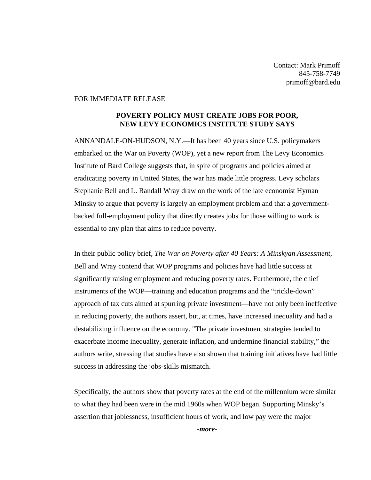## FOR IMMEDIATE RELEASE

## **POVERTY POLICY MUST CREATE JOBS FOR POOR, NEW LEVY ECONOMICS INSTITUTE STUDY SAYS**

ANNANDALE-ON-HUDSON, N.Y.—It has been 40 years since U.S. policymakers embarked on the War on Poverty (WOP), yet a new report from The Levy Economics Institute of Bard College suggests that, in spite of programs and policies aimed at eradicating poverty in United States, the war has made little progress. Levy scholars Stephanie Bell and L. Randall Wray draw on the work of the late economist Hyman Minsky to argue that poverty is largely an employment problem and that a governmentbacked full-employment policy that directly creates jobs for those willing to work is essential to any plan that aims to reduce poverty.

In their public policy brief, *The War on Poverty after 40 Years: A Minskyan Assessment*, Bell and Wray contend that WOP programs and policies have had little success at significantly raising employment and reducing poverty rates. Furthermore, the chief instruments of the WOP—training and education programs and the "trickle-down" approach of tax cuts aimed at spurring private investment—have not only been ineffective in reducing poverty, the authors assert, but, at times, have increased inequality and had a destabilizing influence on the economy. "The private investment strategies tended to exacerbate income inequality, generate inflation, and undermine financial stability," the authors write, stressing that studies have also shown that training initiatives have had little success in addressing the jobs-skills mismatch.

Specifically, the authors show that poverty rates at the end of the millennium were similar to what they had been were in the mid 1960s when WOP began. Supporting Minsky's assertion that joblessness, insufficient hours of work, and low pay were the major